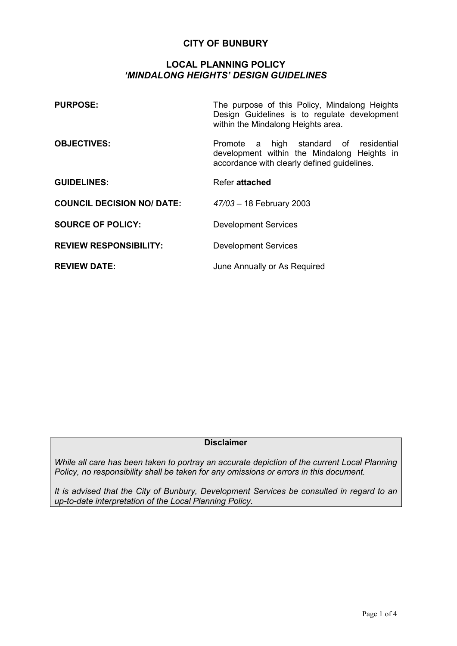# **CITY OF BUNBURY**

## **LOCAL PLANNING POLICY**  *'MINDALONG HEIGHTS' DESIGN GUIDELINES*

| <b>PURPOSE:</b>                   | The purpose of this Policy, Mindalong Heights<br>Design Guidelines is to regulate development<br>within the Mindalong Heights area.  |
|-----------------------------------|--------------------------------------------------------------------------------------------------------------------------------------|
| <b>OBJECTIVES:</b>                | Promote a high standard of residential<br>development within the Mindalong Heights in<br>accordance with clearly defined guidelines. |
| <b>GUIDELINES:</b>                | Refer attached                                                                                                                       |
| <b>COUNCIL DECISION NO/ DATE:</b> | 47/03 - 18 February 2003                                                                                                             |
| <b>SOURCE OF POLICY:</b>          | <b>Development Services</b>                                                                                                          |
| <b>REVIEW RESPONSIBILITY:</b>     | <b>Development Services</b>                                                                                                          |
| <b>REVIEW DATE:</b>               | June Annually or As Required                                                                                                         |

# **Disclaimer**

*While all care has been taken to portray an accurate depiction of the current Local Planning Policy, no responsibility shall be taken for any omissions or errors in this document.* 

*It is advised that the City of Bunbury, Development Services be consulted in regard to an up-to-date interpretation of the Local Planning Policy.*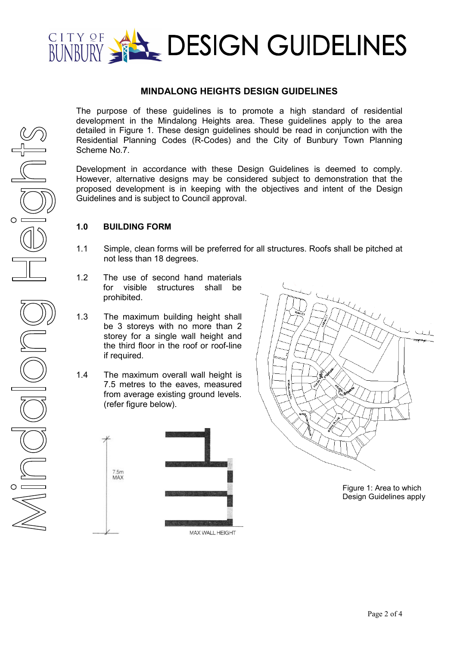

# **MINDALONG HEIGHTS DESIGN GUIDELINES**

The purpose of these guidelines is to promote a high standard of residential development in the Mindalong Heights area. These guidelines apply to the area detailed in Figure 1. These design guidelines should be read in conjunction with the Residential Planning Codes (R-Codes) and the City of Bunbury Town Planning Scheme No.7.

Development in accordance with these Design Guidelines is deemed to comply. However, alternative designs may be considered subject to demonstration that the proposed development is in keeping with the objectives and intent of the Design Guidelines and is subject to Council approval.

## **1.0 BUILDING FORM**

- 1.1 Simple, clean forms will be preferred for all structures. Roofs shall be pitched at not less than 18 degrees.
- 1.2 The use of second hand materials for visible structures shall be prohibited.
- 1.3 The maximum building height shall be 3 storeys with no more than 2 storey for a single wall height and the third floor in the roof or roof-line if required.
- 1.4 The maximum overall wall height is 7.5 metres to the eaves, measured from average existing ground levels. (refer figure below).





Figure 1: Area to which Design Guidelines apply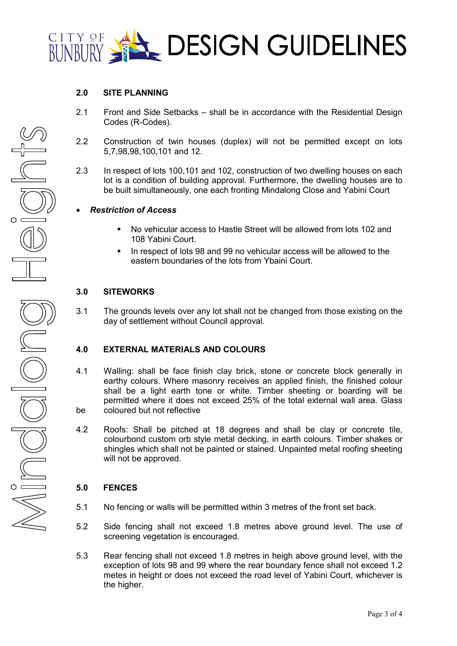

### **2.0 SITE PLANNING**

- 2.1 Front and Side Setbacks shall be in accordance with the Residential Design Codes (R-Codes).
- 2.2 Construction of twin houses (duplex) will not be permitted except on lots 5,7,98,98,100,101 and 12.
- 2.3 In respect of lots 100,101 and 102, construction of two dwelling houses on each lot is a condition of building approval. Furthermore, the dwelling houses are to be built simultaneously, one each fronting Mindalong Close and Yabini Court

### • *Restriction of Access*

- No vehicular access to Hastie Street will be allowed from lots 102 and 108 Yabini Court.
- In respect of lots 98 and 99 no vehicular access will be allowed to the eastern boundaries of the lots from Ybaini Court.

#### **3.0 SITEWORKS**

3.1 The grounds levels over any lot shall not be changed from those existing on the day of settlement without Council approval.

#### **4.0 EXTERNAL MATERIALS AND COLOURS**

- 4.1 Walling: shall be face finish clay brick, stone or concrete block generally in earthy colours. Where masonry receives an applied finish, the finished colour shall be a light earth tone or white. Timber sheeting or boarding will be permitted where it does not exceed 25% of the total external wall area. Glass be coloured but not reflective
- 4.2 Roofs: Shall be pitched at 18 degrees and shall be clay or concrete tile, colourbond custom orb style metal decking, in earth colours. Timber shakes or shingles which shall not be painted or stained. Unpainted metal roofing sheeting will not be approved.

### **5.0 FENCES**

- 5.1 No fencing or walls will be permitted within 3 metres of the front set back.
- 5.2 Side fencing shall not exceed 1.8 metres above ground level. The use of screening vegetation is encouraged.
- 5.3 Rear fencing shall not exceed 1.8 metres in heigh above ground level, with the exception of lots 98 and 99 where the rear boundary fence shall not exceed 1.2 metes in height or does not exceed the road level of Yabini Court, whichever is the higher.